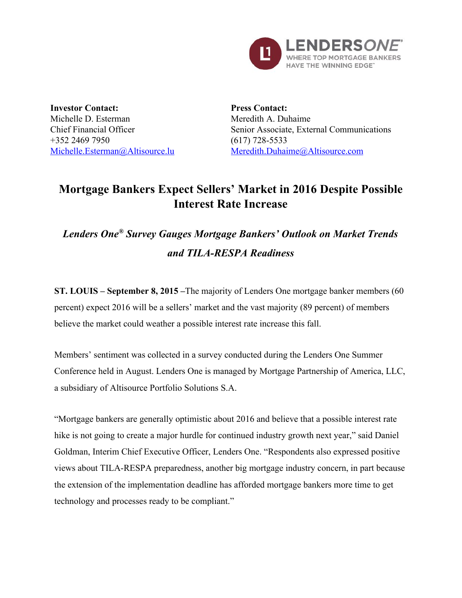

**Investor Contact:** Michelle D. Esterman Chief Financial Officer +352 2469 7950 [Michelle.Esterman@Altisource.lu](mailto:Michelle.Esterman@Altisource.lu)

**Press Contact:** Meredith A. Duhaime Senior Associate, External Communications  $(617)$  728-5533 [Meredith.Duhaime@Altisource.com](mailto:meredith.duhaime@altisource.com)

# **Mortgage Bankers Expect Sellers' Market in 2016 Despite Possible Interest Rate Increase**

# *Lenders One®Survey Gauges Mortgage Bankers' Outlook on Market Trends and TILARESPA Readiness*

**ST. LOUIS – September 8, 2015 –**The majority of Lenders One mortgage banker members (60 percent) expect 2016 will be a sellers' market and the vast majority (89 percent) of members believe the market could weather a possible interest rate increase this fall.

Members' sentiment was collected in a survey conducted during the Lenders One Summer Conference held in August. Lenders One is managed by Mortgage Partnership of America, LLC, a subsidiary of Altisource Portfolio Solutions S.A.

"Mortgage bankers are generally optimistic about 2016 and believe that a possible interest rate hike is not going to create a major hurdle for continued industry growth next year," said Daniel Goldman, Interim Chief Executive Officer, Lenders One. "Respondents also expressed positive views about TILARESPA preparedness, another big mortgage industry concern, in part because the extension of the implementation deadline has afforded mortgage bankers more time to get technology and processes ready to be compliant."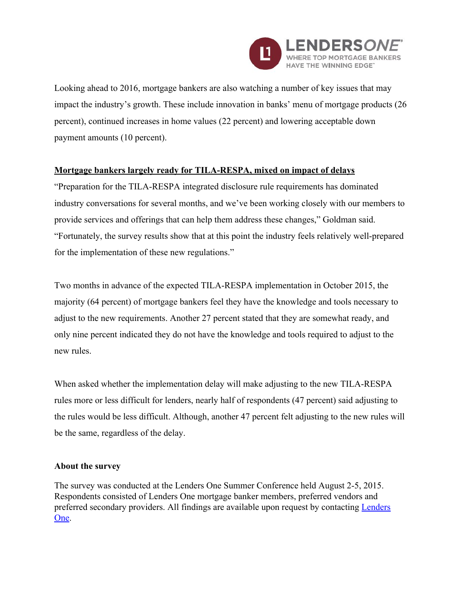

Looking ahead to 2016, mortgage bankers are also watching a number of key issues that may impact the industry's growth. These include innovation in banks' menu of mortgage products (26 percent), continued increases in home values (22 percent) and lowering acceptable down payment amounts (10 percent).

## **Mortgage bankers largely ready for TILARESPA, mixed on impact of delays**

"Preparation for the TILA-RESPA integrated disclosure rule requirements has dominated industry conversations for several months, and we've been working closely with our members to provide services and offerings that can help them address these changes," Goldman said. "Fortunately, the survey results show that at this point the industry feels relatively well-prepared for the implementation of these new regulations."

Two months in advance of the expected TILA-RESPA implementation in October 2015, the majority (64 percent) of mortgage bankers feel they have the knowledge and tools necessary to adjust to the new requirements. Another 27 percent stated that they are somewhat ready, and only nine percent indicated they do not have the knowledge and tools required to adjust to the new rules.

When asked whether the implementation delay will make adjusting to the new TILA-RESPA rules more or less difficult for lenders, nearly half of respondents (47 percent) said adjusting to the rules would be less difficult. Although, another 47 percent felt adjusting to the new rules will be the same, regardless of the delay.

#### **About the survey**

The survey was conducted at the Lenders One Summer Conference held August 25, 2015. Respondents consisted of Lenders One mortgage banker members, preferred vendors and preferred secondary providers. All findings are available upon request by contacting [Lenders](http://lendersone.com/contact-us/) [One.](http://lendersone.com/contact-us/)